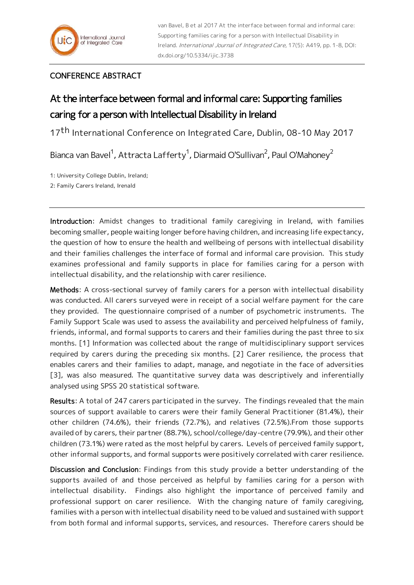## CONFERENCE ABSTRACT

## At the interface between formal and informal care: Supporting families caring for a person with Intellectual Disability in Ireland

17th International Conference on Integrated Care, Dublin, 08-10 May 2017

Bianca van Bavel<sup>1</sup>, Attracta Lafferty<sup>1</sup>, Diarmaid O'Sullivan<sup>2</sup>, Paul O'Mahoney<sup>2</sup>

1: University College Dublin, Ireland;

2: Family Carers Ireland, Irenald

Introduction: Amidst changes to traditional family caregiving in Ireland, with families becoming smaller, people waiting longer before having children, and increasing life expectancy, the question of how to ensure the health and wellbeing of persons with intellectual disability and their families challenges the interface of formal and informal care provision. This study examines professional and family supports in place for families caring for a person with intellectual disability, and the relationship with carer resilience.

Methods: A cross-sectional survey of family carers for a person with intellectual disability was conducted. All carers surveyed were in receipt of a social welfare payment for the care they provided. The questionnaire comprised of a number of psychometric instruments. The Family Support Scale was used to assess the availability and perceived helpfulness of family, friends, informal, and formal supports to carers and their families during the past three to six months. [1] Information was collected about the range of multidisciplinary support services required by carers during the preceding six months. [2] Carer resilience, the process that enables carers and their families to adapt, manage, and negotiate in the face of adversities [3], was also measured. The quantitative survey data was descriptively and inferentially analysed using SPSS 20 statistical software.

Results: A total of 247 carers participated in the survey. The findings revealed that the main sources of support available to carers were their family General Practitioner (81.4%), their other children (74.6%), their friends (72.7%), and relatives (72.5%).From those supports availed of by carers, their partner (88.7%), school/college/day-centre (79.9%), and their other children (73.1%) were rated as the most helpful by carers. Levels of perceived family support, other informal supports, and formal supports were positively correlated with carer resilience.

Discussion and Conclusion: Findings from this study provide a better understanding of the supports availed of and those perceived as helpful by families caring for a person with intellectual disability. Findings also highlight the importance of perceived family and professional support on carer resilience. With the changing nature of family caregiving, families with a person with intellectual disability need to be valued and sustained with support from both formal and informal supports, services, and resources. Therefore carers should be